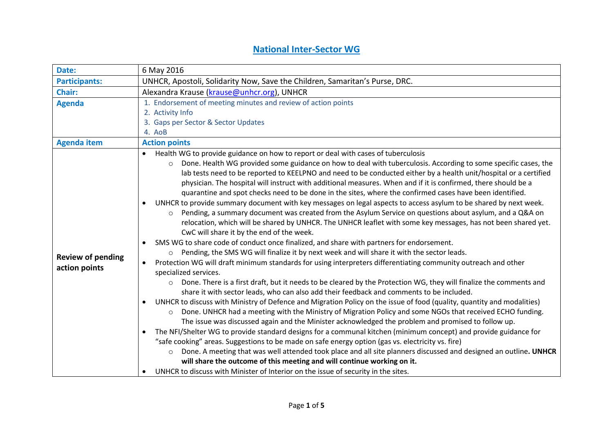## **National Inter-Sector WG**

| Date:                                     | 6 May 2016                                                                                                                                                                                                                                                                                                                                                                                                                                                                                                                                                                                                                                                                                                                                                                                                                                                                                                                                                                                                                                                                                                                                                                                                                                                                                                                                                                                                                                                                                                                                                                                                                                                                                                                                                                                                                                                                                                                                                                                                                                                                                                                                                                                                                                                                                                                    |  |  |  |  |
|-------------------------------------------|-------------------------------------------------------------------------------------------------------------------------------------------------------------------------------------------------------------------------------------------------------------------------------------------------------------------------------------------------------------------------------------------------------------------------------------------------------------------------------------------------------------------------------------------------------------------------------------------------------------------------------------------------------------------------------------------------------------------------------------------------------------------------------------------------------------------------------------------------------------------------------------------------------------------------------------------------------------------------------------------------------------------------------------------------------------------------------------------------------------------------------------------------------------------------------------------------------------------------------------------------------------------------------------------------------------------------------------------------------------------------------------------------------------------------------------------------------------------------------------------------------------------------------------------------------------------------------------------------------------------------------------------------------------------------------------------------------------------------------------------------------------------------------------------------------------------------------------------------------------------------------------------------------------------------------------------------------------------------------------------------------------------------------------------------------------------------------------------------------------------------------------------------------------------------------------------------------------------------------------------------------------------------------------------------------------------------------|--|--|--|--|
| <b>Participants:</b>                      | UNHCR, Apostoli, Solidarity Now, Save the Children, Samaritan's Purse, DRC.                                                                                                                                                                                                                                                                                                                                                                                                                                                                                                                                                                                                                                                                                                                                                                                                                                                                                                                                                                                                                                                                                                                                                                                                                                                                                                                                                                                                                                                                                                                                                                                                                                                                                                                                                                                                                                                                                                                                                                                                                                                                                                                                                                                                                                                   |  |  |  |  |
| <b>Chair:</b>                             | Alexandra Krause (krause@unhcr.org), UNHCR                                                                                                                                                                                                                                                                                                                                                                                                                                                                                                                                                                                                                                                                                                                                                                                                                                                                                                                                                                                                                                                                                                                                                                                                                                                                                                                                                                                                                                                                                                                                                                                                                                                                                                                                                                                                                                                                                                                                                                                                                                                                                                                                                                                                                                                                                    |  |  |  |  |
| <b>Agenda</b>                             | 1. Endorsement of meeting minutes and review of action points                                                                                                                                                                                                                                                                                                                                                                                                                                                                                                                                                                                                                                                                                                                                                                                                                                                                                                                                                                                                                                                                                                                                                                                                                                                                                                                                                                                                                                                                                                                                                                                                                                                                                                                                                                                                                                                                                                                                                                                                                                                                                                                                                                                                                                                                 |  |  |  |  |
|                                           | 2. Activity Info                                                                                                                                                                                                                                                                                                                                                                                                                                                                                                                                                                                                                                                                                                                                                                                                                                                                                                                                                                                                                                                                                                                                                                                                                                                                                                                                                                                                                                                                                                                                                                                                                                                                                                                                                                                                                                                                                                                                                                                                                                                                                                                                                                                                                                                                                                              |  |  |  |  |
|                                           | 3. Gaps per Sector & Sector Updates                                                                                                                                                                                                                                                                                                                                                                                                                                                                                                                                                                                                                                                                                                                                                                                                                                                                                                                                                                                                                                                                                                                                                                                                                                                                                                                                                                                                                                                                                                                                                                                                                                                                                                                                                                                                                                                                                                                                                                                                                                                                                                                                                                                                                                                                                           |  |  |  |  |
|                                           | 4. AoB                                                                                                                                                                                                                                                                                                                                                                                                                                                                                                                                                                                                                                                                                                                                                                                                                                                                                                                                                                                                                                                                                                                                                                                                                                                                                                                                                                                                                                                                                                                                                                                                                                                                                                                                                                                                                                                                                                                                                                                                                                                                                                                                                                                                                                                                                                                        |  |  |  |  |
| <b>Agenda item</b>                        | <b>Action points</b>                                                                                                                                                                                                                                                                                                                                                                                                                                                                                                                                                                                                                                                                                                                                                                                                                                                                                                                                                                                                                                                                                                                                                                                                                                                                                                                                                                                                                                                                                                                                                                                                                                                                                                                                                                                                                                                                                                                                                                                                                                                                                                                                                                                                                                                                                                          |  |  |  |  |
|                                           | Health WG to provide guidance on how to report or deal with cases of tuberculosis<br>$\bullet$                                                                                                                                                                                                                                                                                                                                                                                                                                                                                                                                                                                                                                                                                                                                                                                                                                                                                                                                                                                                                                                                                                                                                                                                                                                                                                                                                                                                                                                                                                                                                                                                                                                                                                                                                                                                                                                                                                                                                                                                                                                                                                                                                                                                                                |  |  |  |  |
| <b>Review of pending</b><br>action points | Done. Health WG provided some guidance on how to deal with tuberculosis. According to some specific cases, the<br>$\circ$<br>lab tests need to be reported to KEELPNO and need to be conducted either by a health unit/hospital or a certified<br>physician. The hospital will instruct with additional measures. When and if it is confirmed, there should be a<br>quarantine and spot checks need to be done in the sites, where the confirmed cases have been identified.<br>UNHCR to provide summary document with key messages on legal aspects to access asylum to be shared by next week.<br>$\bullet$<br>Pending, a summary document was created from the Asylum Service on questions about asylum, and a Q&A on<br>$\circ$<br>relocation, which will be shared by UNHCR. The UNHCR leaflet with some key messages, has not been shared yet.<br>CwC will share it by the end of the week.<br>SMS WG to share code of conduct once finalized, and share with partners for endorsement.<br>$\bullet$<br>Pending, the SMS WG will finalize it by next week and will share it with the sector leads.<br>$\circ$<br>Protection WG will draft minimum standards for using interpreters differentiating community outreach and other<br>$\bullet$<br>specialized services.<br>Done. There is a first draft, but it needs to be cleared by the Protection WG, they will finalize the comments and<br>$\circ$<br>share it with sector leads, who can also add their feedback and comments to be included.<br>UNHCR to discuss with Ministry of Defence and Migration Policy on the issue of food (quality, quantity and modalities)<br>$\bullet$<br>Done. UNHCR had a meeting with the Ministry of Migration Policy and some NGOs that received ECHO funding.<br>$\circ$<br>The issue was discussed again and the Minister acknowledged the problem and promised to follow up.<br>The NFI/Shelter WG to provide standard designs for a communal kitchen (minimum concept) and provide guidance for<br>$\bullet$<br>"safe cooking" areas. Suggestions to be made on safe energy option (gas vs. electricity vs. fire)<br>Done. A meeting that was well attended took place and all site planners discussed and designed an outline. UNHCR<br>$\circ$<br>will share the outcome of this meeting and will continue working on it. |  |  |  |  |
|                                           |                                                                                                                                                                                                                                                                                                                                                                                                                                                                                                                                                                                                                                                                                                                                                                                                                                                                                                                                                                                                                                                                                                                                                                                                                                                                                                                                                                                                                                                                                                                                                                                                                                                                                                                                                                                                                                                                                                                                                                                                                                                                                                                                                                                                                                                                                                                               |  |  |  |  |
|                                           | UNHCR to discuss with Minister of Interior on the issue of security in the sites.<br>$\bullet$                                                                                                                                                                                                                                                                                                                                                                                                                                                                                                                                                                                                                                                                                                                                                                                                                                                                                                                                                                                                                                                                                                                                                                                                                                                                                                                                                                                                                                                                                                                                                                                                                                                                                                                                                                                                                                                                                                                                                                                                                                                                                                                                                                                                                                |  |  |  |  |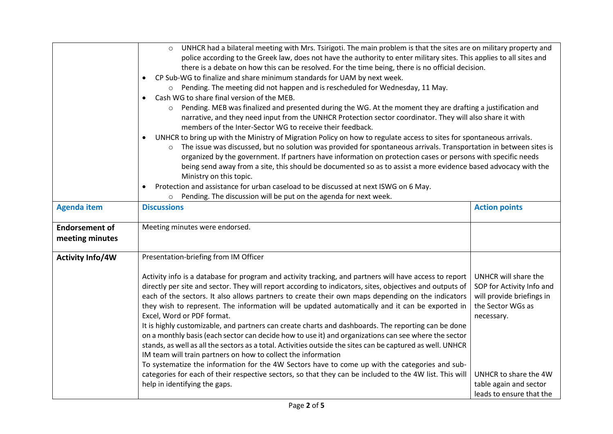|                         | UNHCR had a bilateral meeting with Mrs. Tsirigoti. The main problem is that the sites are on military property and<br>$\circ$     |                           |  |
|-------------------------|-----------------------------------------------------------------------------------------------------------------------------------|---------------------------|--|
|                         | police according to the Greek law, does not have the authority to enter military sites. This applies to all sites and             |                           |  |
|                         | there is a debate on how this can be resolved. For the time being, there is no official decision.                                 |                           |  |
|                         | CP Sub-WG to finalize and share minimum standards for UAM by next week.<br>$\bullet$                                              |                           |  |
|                         | $\circ$ Pending. The meeting did not happen and is rescheduled for Wednesday, 11 May.                                             |                           |  |
|                         | Cash WG to share final version of the MEB.<br>$\bullet$                                                                           |                           |  |
|                         | Pending. MEB was finalized and presented during the WG. At the moment they are drafting a justification and<br>$\circ$            |                           |  |
|                         | narrative, and they need input from the UNHCR Protection sector coordinator. They will also share it with                         |                           |  |
|                         | members of the Inter-Sector WG to receive their feedback.                                                                         |                           |  |
|                         | UNHCR to bring up with the Ministry of Migration Policy on how to regulate access to sites for spontaneous arrivals.<br>$\bullet$ |                           |  |
|                         | The issue was discussed, but no solution was provided for spontaneous arrivals. Transportation in between sites is                |                           |  |
|                         | organized by the government. If partners have information on protection cases or persons with specific needs                      |                           |  |
|                         | being send away from a site, this should be documented so as to assist a more evidence based advocacy with the                    |                           |  |
|                         | Ministry on this topic.                                                                                                           |                           |  |
|                         | Protection and assistance for urban caseload to be discussed at next ISWG on 6 May.<br>$\bullet$                                  |                           |  |
|                         | Pending. The discussion will be put on the agenda for next week.<br>$\circ$                                                       |                           |  |
| <b>Agenda item</b>      | <b>Discussions</b>                                                                                                                | <b>Action points</b>      |  |
|                         |                                                                                                                                   |                           |  |
| <b>Endorsement of</b>   | Meeting minutes were endorsed.                                                                                                    |                           |  |
| meeting minutes         |                                                                                                                                   |                           |  |
|                         |                                                                                                                                   |                           |  |
| <b>Activity Info/4W</b> | Presentation-briefing from IM Officer                                                                                             |                           |  |
|                         |                                                                                                                                   |                           |  |
|                         | Activity info is a database for program and activity tracking, and partners will have access to report                            | UNHCR will share the      |  |
|                         | directly per site and sector. They will report according to indicators, sites, objectives and outputs of                          | SOP for Activity Info and |  |
|                         | each of the sectors. It also allows partners to create their own maps depending on the indicators                                 | will provide briefings in |  |
|                         | they wish to represent. The information will be updated automatically and it can be exported in                                   | the Sector WGs as         |  |
|                         | Excel, Word or PDF format.                                                                                                        | necessary.                |  |
|                         | It is highly customizable, and partners can create charts and dashboards. The reporting can be done                               |                           |  |
|                         | on a monthly basis (each sector can decide how to use it) and organizations can see where the sector                              |                           |  |
|                         | stands, as well as all the sectors as a total. Activities outside the sites can be captured as well. UNHCR                        |                           |  |
|                         | IM team will train partners on how to collect the information                                                                     |                           |  |
|                         | To systematize the information for the 4W Sectors have to come up with the categories and sub-                                    |                           |  |
|                         | categories for each of their respective sectors, so that they can be included to the 4W list. This will                           | UNHCR to share the 4W     |  |
|                         | help in identifying the gaps.                                                                                                     | table again and sector    |  |
|                         |                                                                                                                                   | leads to ensure that the  |  |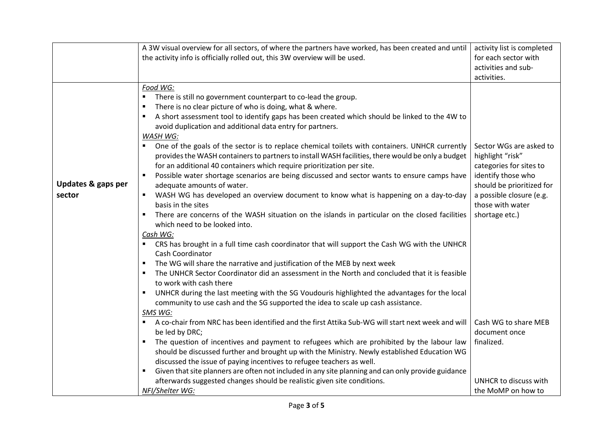|                    | A 3W visual overview for all sectors, of where the partners have worked, has been created and until                                   | activity list is completed                   |
|--------------------|---------------------------------------------------------------------------------------------------------------------------------------|----------------------------------------------|
|                    | the activity info is officially rolled out, this 3W overview will be used.                                                            | for each sector with                         |
|                    |                                                                                                                                       | activities and sub-<br>activities.           |
|                    | Food WG:                                                                                                                              |                                              |
|                    | $\blacksquare$<br>There is still no government counterpart to co-lead the group.                                                      |                                              |
|                    | There is no clear picture of who is doing, what & where.<br>п                                                                         |                                              |
|                    | A short assessment tool to identify gaps has been created which should be linked to the 4W to                                         |                                              |
|                    | avoid duplication and additional data entry for partners.                                                                             |                                              |
|                    | <b>WASH WG:</b>                                                                                                                       |                                              |
|                    | One of the goals of the sector is to replace chemical toilets with containers. UNHCR currently<br>$\blacksquare$                      | Sector WGs are asked to                      |
|                    | provides the WASH containers to partners to install WASH facilities, there would be only a budget                                     | highlight "risk"                             |
|                    | for an additional 40 containers which require prioritization per site.                                                                | categories for sites to                      |
|                    | Possible water shortage scenarios are being discussed and sector wants to ensure camps have                                           | identify those who                           |
| Updates & gaps per | adequate amounts of water.                                                                                                            | should be prioritized for                    |
| sector             | WASH WG has developed an overview document to know what is happening on a day-to-day<br>basis in the sites                            | a possible closure (e.g.<br>those with water |
|                    | There are concerns of the WASH situation on the islands in particular on the closed facilities<br>٠                                   | shortage etc.)                               |
|                    | which need to be looked into.                                                                                                         |                                              |
|                    | Cash WG:                                                                                                                              |                                              |
|                    | CRS has brought in a full time cash coordinator that will support the Cash WG with the UNHCR<br>$\blacksquare$                        |                                              |
|                    | Cash Coordinator                                                                                                                      |                                              |
|                    | The WG will share the narrative and justification of the MEB by next week                                                             |                                              |
|                    | The UNHCR Sector Coordinator did an assessment in the North and concluded that it is feasible                                         |                                              |
|                    | to work with cash there                                                                                                               |                                              |
|                    | UNHCR during the last meeting with the SG Voudouris highlighted the advantages for the local                                          |                                              |
|                    | community to use cash and the SG supported the idea to scale up cash assistance.                                                      |                                              |
|                    | SMS WG:                                                                                                                               |                                              |
|                    | A co-chair from NRC has been identified and the first Attika Sub-WG will start next week and will<br>$\blacksquare$<br>be led by DRC; | Cash WG to share MEB<br>document once        |
|                    | The question of incentives and payment to refugees which are prohibited by the labour law                                             | finalized.                                   |
|                    | should be discussed further and brought up with the Ministry. Newly established Education WG                                          |                                              |
|                    | discussed the issue of paying incentives to refugee teachers as well.                                                                 |                                              |
|                    | Given that site planners are often not included in any site planning and can only provide guidance<br>٠                               |                                              |
|                    | afterwards suggested changes should be realistic given site conditions.                                                               | UNHCR to discuss with                        |
|                    | NFI/Shelter WG:                                                                                                                       | the MoMP on how to                           |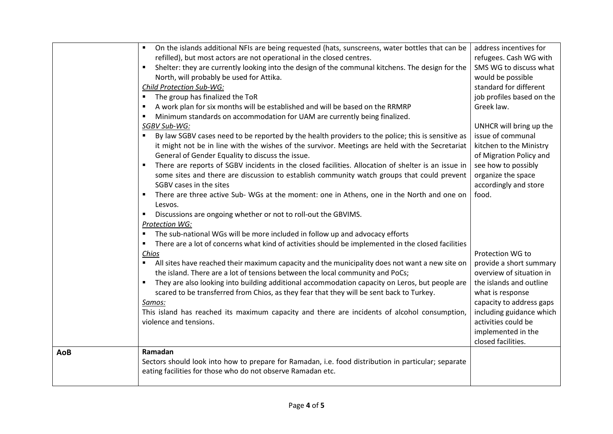|            | On the islands additional NFIs are being requested (hats, sunscreens, water bottles that can be                      | address incentives for    |
|------------|----------------------------------------------------------------------------------------------------------------------|---------------------------|
|            | refilled), but most actors are not operational in the closed centres.                                                | refugees. Cash WG with    |
|            | Shelter: they are currently looking into the design of the communal kitchens. The design for the<br>$\blacksquare$   | SMS WG to discuss what    |
|            | North, will probably be used for Attika.                                                                             | would be possible         |
|            | Child Protection Sub-WG:                                                                                             | standard for different    |
|            | The group has finalized the ToR                                                                                      | job profiles based on the |
|            | A work plan for six months will be established and will be based on the RRMRP<br>٠                                   | Greek law.                |
|            | Minimum standards on accommodation for UAM are currently being finalized.                                            |                           |
|            | SGBV Sub-WG:                                                                                                         | UNHCR will bring up the   |
|            | By law SGBV cases need to be reported by the health providers to the police; this is sensitive as<br>$\blacksquare$  | issue of communal         |
|            | it might not be in line with the wishes of the survivor. Meetings are held with the Secretariat                      | kitchen to the Ministry   |
|            | General of Gender Equality to discuss the issue.                                                                     | of Migration Policy and   |
|            | There are reports of SGBV incidents in the closed facilities. Allocation of shelter is an issue in                   | see how to possibly       |
|            | some sites and there are discussion to establish community watch groups that could prevent                           | organize the space        |
|            | SGBV cases in the sites                                                                                              | accordingly and store     |
|            | There are three active Sub- WGs at the moment: one in Athens, one in the North and one on<br>٠                       | food.                     |
|            | Lesvos.                                                                                                              |                           |
|            | Discussions are ongoing whether or not to roll-out the GBVIMS.<br>٠                                                  |                           |
|            | <b>Protection WG:</b>                                                                                                |                           |
|            | The sub-national WGs will be more included in follow up and advocacy efforts<br>$\blacksquare$                       |                           |
|            | There are a lot of concerns what kind of activities should be implemented in the closed facilities<br>$\blacksquare$ |                           |
|            | Chios                                                                                                                | Protection WG to          |
|            | All sites have reached their maximum capacity and the municipality does not want a new site on<br>٠                  | provide a short summary   |
|            | the island. There are a lot of tensions between the local community and PoCs;                                        | overview of situation in  |
|            | They are also looking into building additional accommodation capacity on Leros, but people are<br>٠                  | the islands and outline   |
|            | scared to be transferred from Chios, as they fear that they will be sent back to Turkey.                             | what is response          |
|            | Samos:                                                                                                               | capacity to address gaps  |
|            | This island has reached its maximum capacity and there are incidents of alcohol consumption,                         | including guidance which  |
|            | violence and tensions.                                                                                               | activities could be       |
|            |                                                                                                                      | implemented in the        |
|            |                                                                                                                      | closed facilities.        |
| <b>AoB</b> | Ramadan                                                                                                              |                           |
|            | Sectors should look into how to prepare for Ramadan, i.e. food distribution in particular; separate                  |                           |
|            | eating facilities for those who do not observe Ramadan etc.                                                          |                           |
|            |                                                                                                                      |                           |